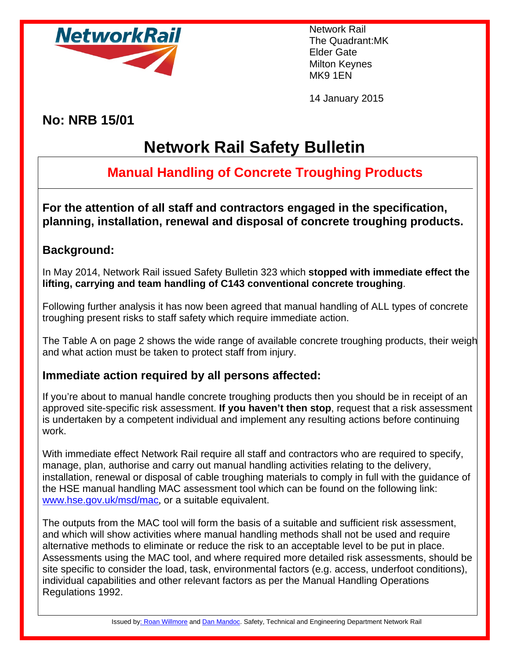

Network Rail The Quadrant:MK Elder Gate Milton Keynes MK9 1EN

14 January 2015

**No: NRB 15/01** 

# **Network Rail Safety Bulletin**

## **Manual Handling of Concrete Troughing Products**

**For the attention of all staff and contractors engaged in the specification, planning, installation, renewal and disposal of concrete troughing products.** 

### **Background:**

In May 2014, Network Rail issued Safety Bulletin 323 which **stopped with immediate effect the lifting, carrying and team handling of C143 conventional concrete troughing**.

Following further analysis it has now been agreed that manual handling of ALL types of concrete troughing present risks to staff safety which require immediate action.

The Table A on page 2 shows the wide range of available concrete troughing products, their weigh and what action must be taken to protect staff from injury.

#### **Immediate action required by all persons affected:**

If you're about to manual handle concrete troughing products then you should be in receipt of an approved site-specific risk assessment. **If you haven't then stop**, request that a risk assessment is undertaken by a competent individual and implement any resulting actions before continuing work.

With immediate effect Network Rail require all staff and contractors who are required to specify, manage, plan, authorise and carry out manual handling activities relating to the delivery, installation, renewal or disposal of cable troughing materials to comply in full with the guidance of the HSE manual handling MAC assessment tool which can be found on the following link: [www.hse.gov.uk/msd/mac](http://www.hse.gov.uk/msd/mac), or a suitable equivalent.

The outputs from the MAC tool will form the basis of a suitable and sufficient risk assessment, and which will show activities where manual handling methods shall not be used and require alternative methods to eliminate or reduce the risk to an acceptable level to be put in place. Assessments using the MAC tool, and where required more detailed risk assessments, should be site specific to consider the load, task, environmental factors (e.g. access, underfoot conditions), individual capabilities and other relevant factors as per the Manual Handling Operations Regulations 1992.